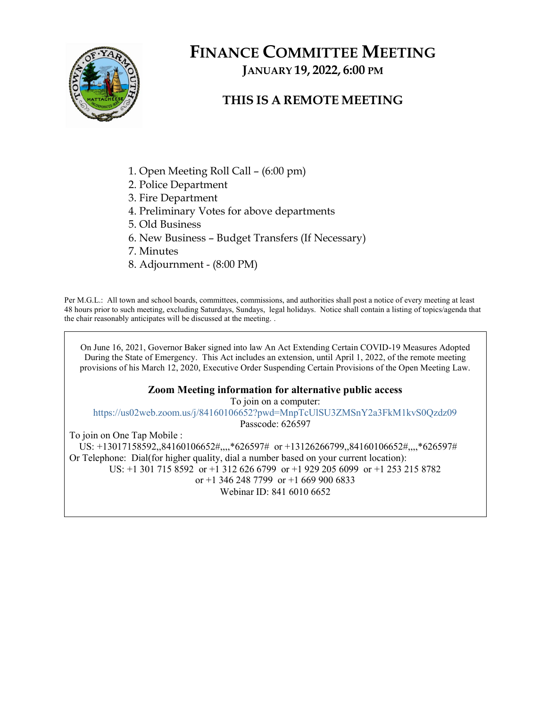

# FINANCE COMMITTEE MEETING JANUARY 19, 2022, 6:00 PM

## THIS IS A REMOTE MEETING

- 1. Open Meeting Roll Call (6:00 pm)
- 2. Police Department
- 3. Fire Department
- 4. Preliminary Votes for above departments
- 5. Old Business
- 6. New Business Budget Transfers (If Necessary)
- 7. Minutes
- 8. Adjournment (8:00 PM)

Per M.G.L.: All town and school boards, committees, commissions, and authorities shall post a notice of every meeting at least 48 hours prior to such meeting, excluding Saturdays, Sundays, legal holidays. Notice shall contain a listing of topics/agenda that the chair reasonably anticipates will be discussed at the meeting. .

On June 16, 2021, Governor Baker signed into law An Act Extending Certain COVID-19 Measures Adopted During the State of Emergency. This Act includes an extension, until April 1, 2022, of the remote meeting provisions of his March 12, 2020, Executive Order Suspending Certain Provisions of the Open Meeting Law.

#### Zoom Meeting information for alternative public access

To join on a computer:

https://us02web.zoom.us/j/84160106652?pwd=MnpTcUlSU3ZMSnY2a3FkM1kvS0Qzdz09

Passcode: 626597

To join on One Tap Mobile :

 US: +13017158592,,84160106652#,,,,\*626597# or +13126266799,,84160106652#,,,,\*626597# Or Telephone: Dial(for higher quality, dial a number based on your current location): US: +1 301 715 8592 or +1 312 626 6799 or +1 929 205 6099 or +1 253 215 8782 or +1 346 248 7799 or +1 669 900 6833 Webinar ID: 841 6010 6652